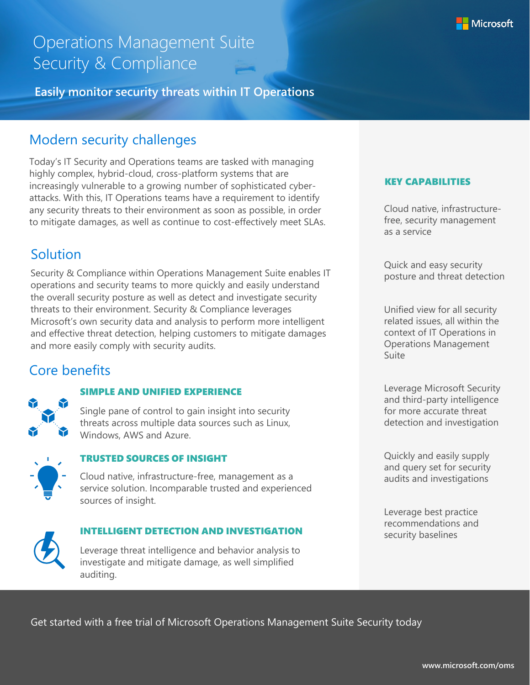# Operations Management Suite Security & Compliance

**Easily monitor security threats within IT Operations**

# Modern security challenges

Today's IT Security and Operations teams are tasked with managing highly complex, hybrid-cloud, cross-platform systems that are increasingly vulnerable to a growing number of sophisticated cyberattacks. With this, IT Operations teams have a requirement to identify any security threats to their environment as soon as possible, in order to mitigate damages, as well as continue to cost-effectively meet SLAs.

# **Solution**

Security & Compliance within Operations Management Suite enables IT operations and security teams to more quickly and easily understand the overall security posture as well as detect and investigate security threats to their environment. Security & Compliance leverages Microsoft's own security data and analysis to perform more intelligent and effective threat detection, helping customers to mitigate damages and more easily comply with security audits.

# Core benefits



### SIMPLE AND UNIFIED EXPERIENCE

Single pane of control to gain insight into security threats across multiple data sources such as Linux, Windows, AWS and Azure.



### TRUSTED SOURCES OF INSIGHT

Cloud native, infrastructure-free, management as a service solution. Incomparable trusted and experienced sources of insight.



### INTELLIGENT DETECTION AND INVESTIGATION

Leverage threat intelligence and behavior analysis to investigate and mitigate damage, as well simplified auditing.

#### KEY CAPABILITIES

Cloud native, infrastructurefree, security management as a service

Quick and easy security posture and threat detection

Unified view for all security related issues, all within the context of IT Operations in Operations Management Suite

Leverage Microsoft Security and third-party intelligence for more accurate threat detection and investigation

Quickly and easily supply and query set for security audits and investigations

Leverage best practice recommendations and security baselines

Get started with a free trial of Microsoft Operations Management Suite Security today